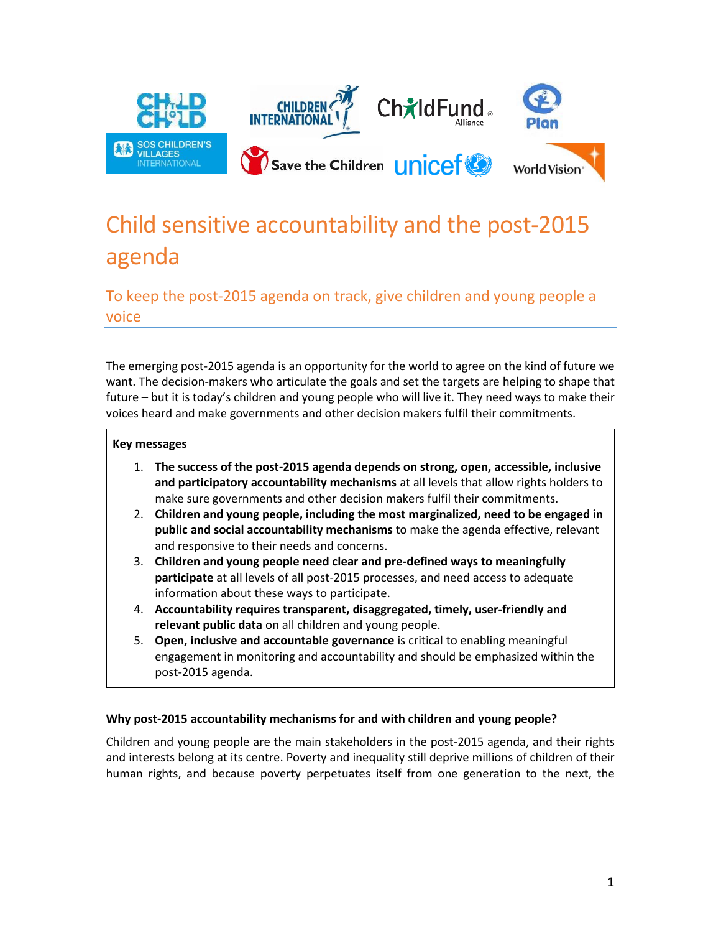

## Child sensitive accountability and the post-2015 agenda

To keep the post-2015 agenda on track, give children and young people a voice

The emerging post-2015 agenda is an opportunity for the world to agree on the kind of future we want. The decision-makers who articulate the goals and set the targets are helping to shape that future – but it is today's children and young people who will live it. They need ways to make their voices heard and make governments and other decision makers fulfil their commitments.

## **Key messages**

- 1. **The success of the post-2015 agenda depends on strong, open, accessible, inclusive and participatory accountability mechanisms** at all levels that allow rights holders to make sure governments and other decision makers fulfil their commitments.
- 2. **Children and young people, including the most marginalized, need to be engaged in public and social accountability mechanisms** to make the agenda effective, relevant and responsive to their needs and concerns.
- 3. **Children and young people need clear and pre-defined ways to meaningfully participate** at all levels of all post-2015 processes, and need access to adequate information about these ways to participate.
- 4. **Accountability requires transparent, disaggregated, timely, user-friendly and relevant public data** on all children and young people.
- 5. **Open, inclusive and accountable governance** is critical to enabling meaningful engagement in monitoring and accountability and should be emphasized within the post-2015 agenda.

## **Why post-2015 accountability mechanisms for and with children and young people?**

Children and young people are the main stakeholders in the post-2015 agenda, and their rights and interests belong at its centre. Poverty and inequality still deprive millions of children of their human rights, and because poverty perpetuates itself from one generation to the next, the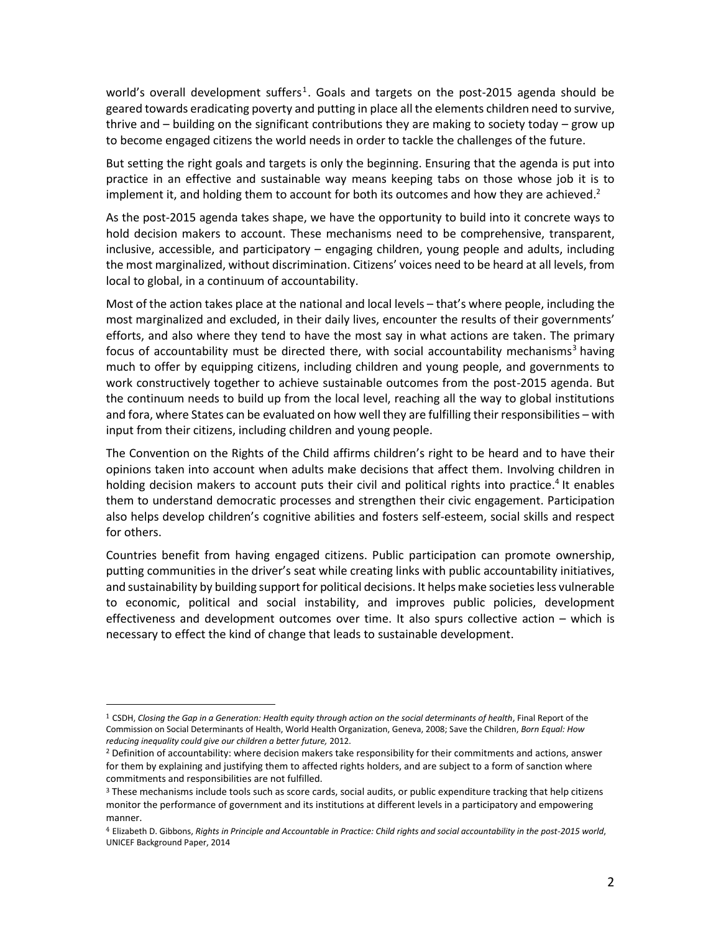world's overall development suffers<sup>1</sup>. Goals and targets on the post-2015 agenda should be geared towards eradicating poverty and putting in place all the elements children need to survive, thrive and – building on the significant contributions they are making to society today – grow up to become engaged citizens the world needs in order to tackle the challenges of the future.

But setting the right goals and targets is only the beginning. Ensuring that the agenda is put into practice in an effective and sustainable way means keeping tabs on those whose job it is to implement it, and holding them to account for both its outcomes and how they are achieved.<sup>2</sup>

As the post-2015 agenda takes shape, we have the opportunity to build into it concrete ways to hold decision makers to account. These mechanisms need to be comprehensive, transparent, inclusive, accessible, and participatory – engaging children, young people and adults, including the most marginalized, without discrimination. Citizens' voices need to be heard at all levels, from local to global, in a continuum of accountability.

Most of the action takes place at the national and local levels – that's where people, including the most marginalized and excluded, in their daily lives, encounter the results of their governments' efforts, and also where they tend to have the most say in what actions are taken. The primary focus of accountability must be directed there, with social accountability mechanisms<sup>3</sup> having much to offer by equipping citizens, including children and young people, and governments to work constructively together to achieve sustainable outcomes from the post-2015 agenda. But the continuum needs to build up from the local level, reaching all the way to global institutions and fora, where States can be evaluated on how well they are fulfilling their responsibilities – with input from their citizens, including children and young people.

The Convention on the Rights of the Child affirms children's right to be heard and to have their opinions taken into account when adults make decisions that affect them. Involving children in holding decision makers to account puts their civil and political rights into practice.<sup>4</sup> It enables them to understand democratic processes and strengthen their civic engagement. Participation also helps develop children's cognitive abilities and fosters self-esteem, social skills and respect for others.

Countries benefit from having engaged citizens. Public participation can promote ownership, putting communities in the driver's seat while creating links with public accountability initiatives, and sustainability by building support for political decisions. It helps make societies less vulnerable to economic, political and social instability, and improves public policies, development effectiveness and development outcomes over time. It also spurs collective action – which is necessary to effect the kind of change that leads to sustainable development.

 $\overline{\phantom{a}}$ 

<sup>1</sup> CSDH, *Closing the Gap in a Generation: Health equity through action on the social determinants of health*, Final Report of the Commission on Social Determinants of Health, World Health Organization, Geneva, 2008; Save the Children, *Born Equal: How reducing inequality could give our children a better future,* 2012.

<sup>&</sup>lt;sup>2</sup> Definition of accountability: where decision makers take responsibility for their commitments and actions, answer for them by explaining and justifying them to affected rights holders, and are subject to a form of sanction where commitments and responsibilities are not fulfilled.

<sup>&</sup>lt;sup>3</sup> These mechanisms include tools such as score cards, social audits, or public expenditure tracking that help citizens monitor the performance of government and its institutions at different levels in a participatory and empowering manner.

<sup>4</sup> Elizabeth D. Gibbons, *Rights in Principle and Accountable in Practice: Child rights and social accountability in the post-2015 world*, UNICEF Background Paper, 2014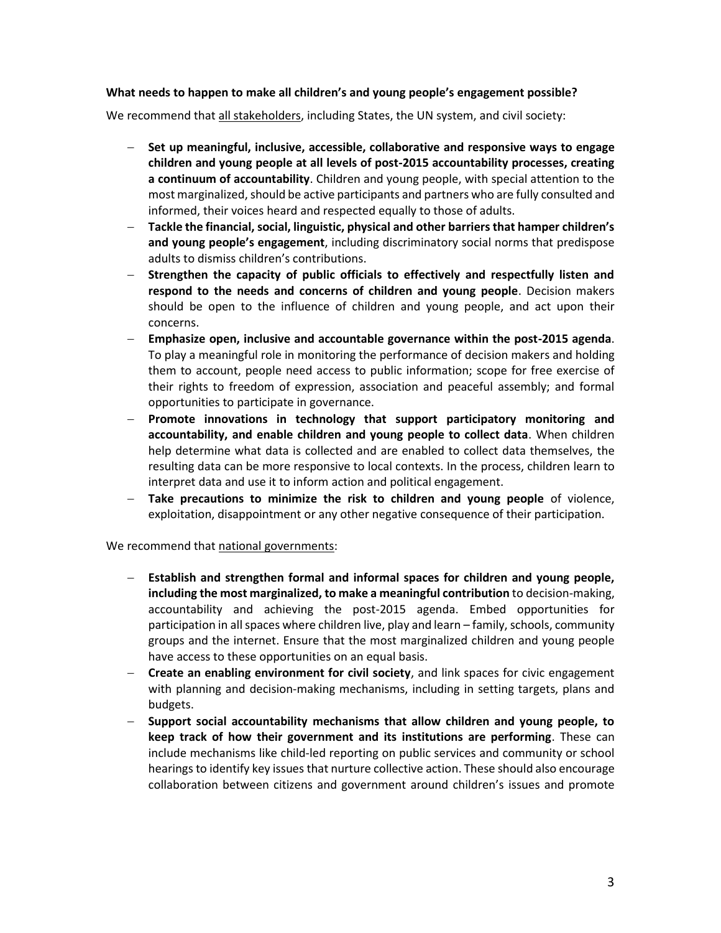## **What needs to happen to make all children's and young people's engagement possible?**

We recommend that all stakeholders, including States, the UN system, and civil society:

- **Set up meaningful, inclusive, accessible, collaborative and responsive ways to engage children and young people at all levels of post-2015 accountability processes, creating a continuum of accountability**. Children and young people, with special attention to the most marginalized, should be active participants and partners who are fully consulted and informed, their voices heard and respected equally to those of adults.
- **Tackle the financial, social, linguistic, physical and other barriers that hamper children's and young people's engagement**, including discriminatory social norms that predispose adults to dismiss children's contributions.
- **Strengthen the capacity of public officials to effectively and respectfully listen and respond to the needs and concerns of children and young people**. Decision makers should be open to the influence of children and young people, and act upon their concerns.
- **Emphasize open, inclusive and accountable governance within the post-2015 agenda**. To play a meaningful role in monitoring the performance of decision makers and holding them to account, people need access to public information; scope for free exercise of their rights to freedom of expression, association and peaceful assembly; and formal opportunities to participate in governance.
- **Promote innovations in technology that support participatory monitoring and accountability, and enable children and young people to collect data**. When children help determine what data is collected and are enabled to collect data themselves, the resulting data can be more responsive to local contexts. In the process, children learn to interpret data and use it to inform action and political engagement.
- **Take precautions to minimize the risk to children and young people** of violence, exploitation, disappointment or any other negative consequence of their participation.

We recommend that national governments:

- **Establish and strengthen formal and informal spaces for children and young people, including the most marginalized, to make a meaningful contribution** to decision-making, accountability and achieving the post-2015 agenda. Embed opportunities for participation in all spaces where children live, play and learn – family, schools, community groups and the internet. Ensure that the most marginalized children and young people have access to these opportunities on an equal basis.
- **Create an enabling environment for civil society**, and link spaces for civic engagement with planning and decision-making mechanisms, including in setting targets, plans and budgets.
- **Support social accountability mechanisms that allow children and young people, to keep track of how their government and its institutions are performing**. These can include mechanisms like child-led reporting on public services and community or school hearings to identify key issues that nurture collective action. These should also encourage collaboration between citizens and government around children's issues and promote